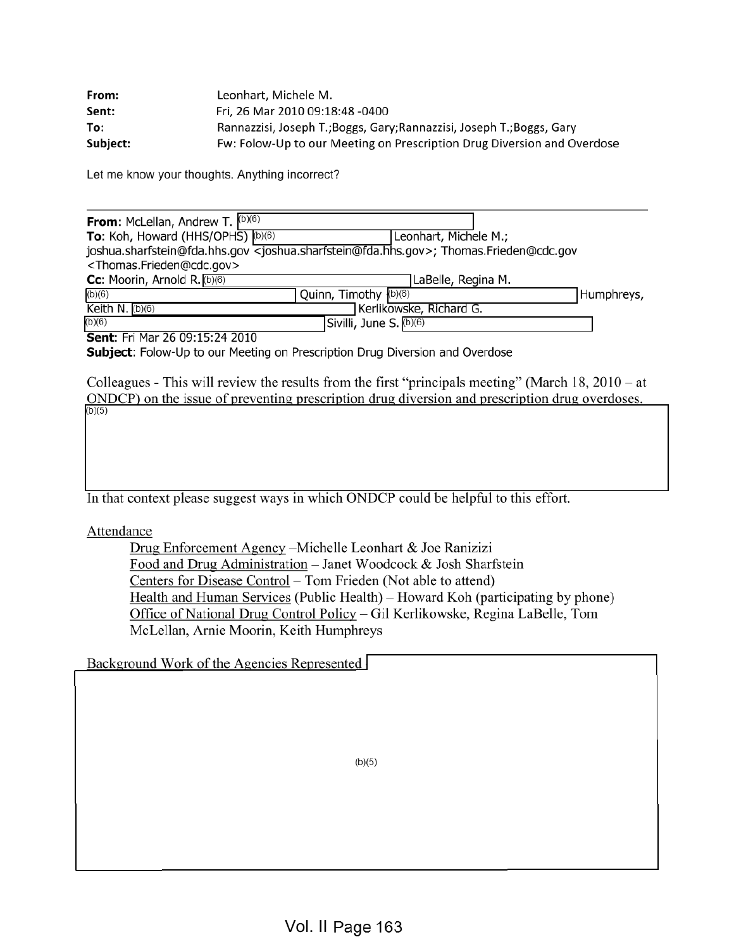| From:    | Leonhart, Michele M.                                                    |
|----------|-------------------------------------------------------------------------|
| Sent:    | Fri, 26 Mar 2010 09:18:48 -0400                                         |
| To:      | Rannazzisi, Joseph T.; Boggs, Gary; Rannazzisi, Joseph T.; Boggs, Gary  |
| Subject: | Fw: Folow-Up to our Meeting on Prescription Drug Diversion and Overdose |

Let me know your thoughts. Anything incorrect?

| <b>From:</b> McLellan, Andrew T. $(6)(6)$         |                                                                                                                       |            |
|---------------------------------------------------|-----------------------------------------------------------------------------------------------------------------------|------------|
| <b>To:</b> Koh, Howard (HHS/OPHS) $(b)(6)$        | Leonhart, Michele M.;                                                                                                 |            |
|                                                   | joshua.sharfstein@fda.hhs.gov <joshua.sharfstein@fda.hhs.gov>; Thomas.Frieden@cdc.gov</joshua.sharfstein@fda.hhs.gov> |            |
| <thomas.frieden@cdc.gov></thomas.frieden@cdc.gov> |                                                                                                                       |            |
| Cc: Moorin, Arnold R. (b)(6)                      | LaBelle, Regina M.                                                                                                    |            |
| (b)(6)                                            | Quinn, Timothy (b)(6)                                                                                                 | Humphreys, |
| Keith N. $(b)(6)$                                 | Kerlikowske, Richard G.                                                                                               |            |
| (b)(6)                                            | Sivilli, June S. (b)(6)                                                                                               |            |
| Sent: Fri Mar 26 09:15:24 2010                    |                                                                                                                       |            |

Subject: Folow-Up to our Meeting on Prescription Drug Diversion and Overdose

Colleagues - This will review the results from the first "principals meeting" (March  $18, 2010 - at$ ONDCP) on the issue of preventing prescription drug diversion and prescription drug overdoses. (b)(5)

In that context please suggest ways in which ONDCP could be helpful to this effort.

Attendance

Drug Enforcement Agency -Michelle Leonhart & Joe Ranizizi Food and Drug Administration - Janet Woodcock & Josh Sharfstein Centers for Disease Control – Tom Frieden (Not able to attend) Health and Human Services (Public Health) – Howard Koh (participating by phone) Office of National Drug Control Policy - Gil Kerlikowske, Regina LaBelle, Tom McLellan, Arnie Moorin, Keith Humphreys

Background Work of the Agencies Represented

(b)(5)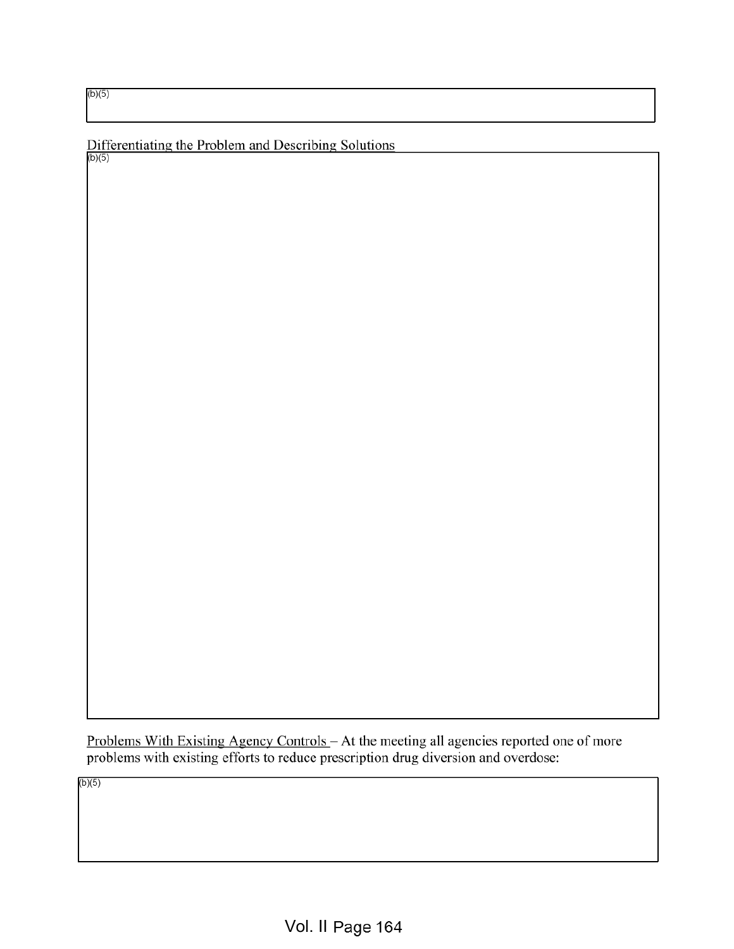(b)(5)

b)(5)

Differentiating the Problem and Describing Solutions

Problems With Existing Agency Controls – At the meeting all agencies reported one of more problems with existing efforts to reduce prescription drug diversion and overdose:

(b)(5)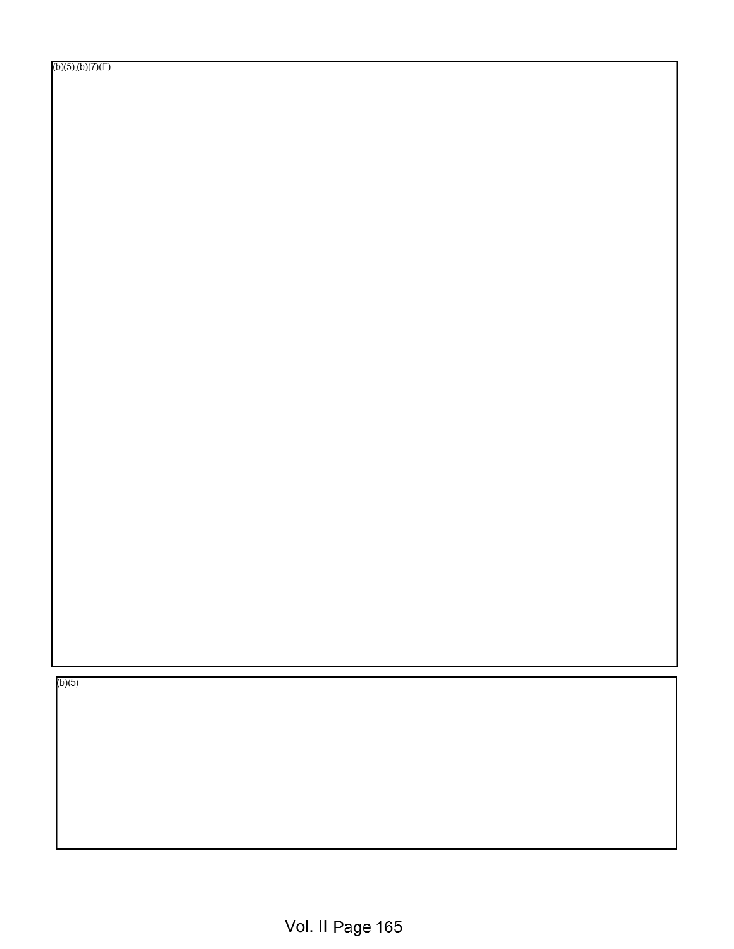(b)(5)